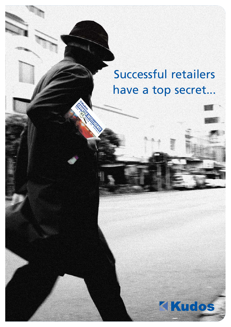## Successful retailers have a top secret...

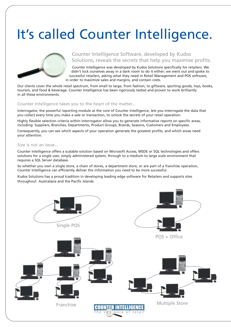# It's called Counter Intelligence.



### Counter Intelligence Software, developed by Kudos Solutions, reveals the secrets that help you maximise profits.

Counter Intelligence was developed by Kudos Solutions specifically for retailers. We didn't lock ourselves away in a dark room to do it either; we went out and spoke to successful retailers, asking what they need in Retail Management and POS software, in order to maximize sales and margins, and contain costs.

Our clients cover the whole retail spectrum, from small to large, from fashion, to giftware, sporting goods, toys, books, tourism, and food & beverage. Counter Intelligence has been rigorously tested and proven to work brilliantly in all these environments.

#### Counter Intelligence takes you to the heart of the matter...

Interrogator, the powerful reporting module at the core of Counter Intelligence, lets you interrogate the data that you collect every time you make a sale or transaction, to unlock the secrets of your retail operation.

Highly flexible selection criteria within Interrogator allow you to generate informative reports on specific areas, including: Suppliers, Branches, Departments, Product Groups, Brands, Seasons, Customers and Employees.

Consequently, you can see which aspects of your operation generate the greatest profits, and which areas need your attention.

#### Size is not an issue...

Counter Intelligence offers a scalable solution based on Microsoft Access, MSDE or SQL technologies and offers solutions for a single user, simply administered system, through to a medium to large scale environment that requires a SQL Server database.

So whether you own a single store, a chain of stores, a department store, or are part of a franchise operation, Counter Intelligence can efficiently deliver the information you need to be more successful.

Kudos Solutions has a proud tradition in developing leading edge software for Retailers and supports sites throughout Australasia and the Pacific Islands.

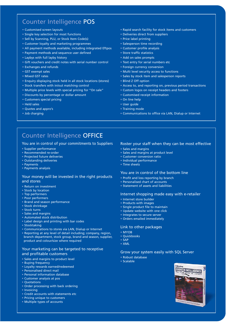### Counter Intelligence POS

- Customised screen layouts
- Single key selection for most functions
- Sell by Scanning, PLU, or Stock Item Code(s)
- Customer loyalty and marketing programmes
- All payment methods available, including integrated Eftpos
- Payment methods and sequence user defined
- Laybys with full layby history
- Gift vouchers and credit notes with serial number control
- Exchanges and refunds
- GST exempt sales
- Mixed GST rates
- Enquiry displaying stock held in all stock locations (stores)
- Stock transfers with in/out matching control
- Multiple price levels with special pricing for "On sale"
- Discounts by percentage or dollar amount
- Customers special pricing
- Held sales
- Quotes and appro's
- Job charging
- Rapid search facility for stock items and customers
- Deliveries direct from suppliers
- Price label printing
- Salesperson time recording
- Customer profile analysis
- Store traffic statistics
- Add on sales prompts
- Text entry for serial numbers etc
- Foreign currency conversion
- Multi level security access to functions
- Sales by stock item and salesperson reports
- Blind Z Off option
- Access to, and reporting on, previous period transactions
- Custom logos on receipt headers and footers
- Customised receipt information
- On line help
- User guide
- Training mode
- Communications to office via LAN, Dialup or Internet

## Counter Intelligence OFFICE

#### You are in control of your commitments to Suppliers

- Supplier performance
- Recommended re-order
- Projected future deliveries
- Outstanding deliveries
- Payments
- Payments analysis

#### Your money will be invested in the right products and stores

- Return on investment
- Stock by location
- Top performers
- Poor performers • Brand and season performance
- Stock shrinkage
- Stock turns
- Sales and margins
- Automated stock distribution
- Label design and printing with bar codes
- Stocktaking
- Communications to stores via LAN, Dialup or Internet
- Reporting at any level of detail including; company, region, branch department, stock group, brand and season, supplier, product and colour/size where required

#### Your marketing can be targeted to receptive and profitable customers

- Sales and margins to product level
- Buying frequency
- Loyalty rewards earned/redeemed
- Personalised direct mail
- Personal information database
- Customer analysis at pos
- Quotations
- Order processing with back ordering
- Invoicing
- Credit accounts with statements etc
- Pricing unique to customers • Multiple types of accounts

- Roster your staff when they can be most effective
- Sales and margins
- Sales and margins at product level
- Customer conversion ratio • Individual performance
- Time sheets

#### You are in control of the bottom line

- Profit and loss reporting by branch
- Personalised chart of accounts
- Statement of assets and liabilities

#### Internet shopping made easy with e-retailer

- Internet store builder
- Products with images
- Single product file to maintain
- Update website with one click
- Integrates to secure server
- Orders emailed immediately

#### Link to other packages

- MYOB
- Quickbooks
- SAP
- XML

#### Grow your system easily with SQL Server

- Robust database
- Scalable